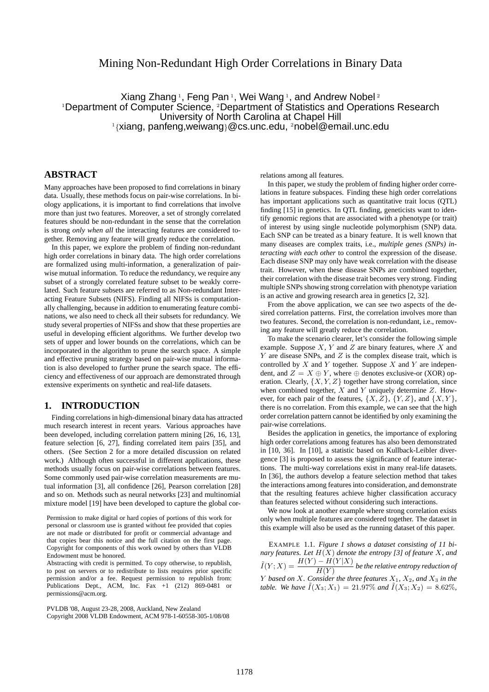# Mining Non-Redundant High Order Correlations in Binary Data

Xiang Zhang<sup>1</sup>, Feng Pan<sup>1</sup>, Wei Wang<sup>1</sup>, and Andrew Nobel<sup>2</sup> <sup>1</sup>Department of Computer Science, <sup>2</sup>Department of Statistics and Operations Research University of North Carolina at Chapel Hill  $^{1}$ {xiang, panfeng,weiwang}@cs.unc.edu,  $^{2}$ nobel@email.unc.edu

# **ABSTRACT**

Many approaches have been proposed to find correlations in binary data. Usually, these methods focus on pair-wise correlations. In biology applications, it is important to find correlations that involve more than just two features. Moreover, a set of strongly correlated features should be non-redundant in the sense that the correlation is strong *only when all* the interacting features are considered together. Removing any feature will greatly reduce the correlation.

In this paper, we explore the problem of finding non-redundant high order correlations in binary data. The high order correlations are formalized using multi-information, a generalization of pairwise mutual information. To reduce the redundancy, we require any subset of a strongly correlated feature subset to be weakly correlated. Such feature subsets are referred to as Non-redundant Interacting Feature Subsets (NIFS). Finding all NIFSs is computationally challenging, because in addition to enumerating feature combinations, we also need to check all their subsets for redundancy. We study several properties of NIFSs and show that these properties are useful in developing efficient algorithms. We further develop two sets of upper and lower bounds on the correlations, which can be incorporated in the algorithm to prune the search space. A simple and effective pruning strategy based on pair-wise mutual information is also developed to further prune the search space. The efficiency and effectiveness of our approach are demonstrated through extensive experiments on synthetic and real-life datasets.

### **1. INTRODUCTION**

Finding correlations in high-dimensional binary data has attracted much research interest in recent years. Various approaches have been developed, including correlation pattern mining [26, 16, 13], feature selection [6, 27], finding correlated item pairs [35], and others. (See Section 2 for a more detailed discussion on related work.) Although often successful in different applications, these methods usually focus on pair-wise correlations between features. Some commonly used pair-wise correlation measurements are mutual information [3], all confidence [26], Pearson correlation [28] and so on. Methods such as neural networks [23] and multinomial mixture model [19] have been developed to capture the global cor-

are not made or distributed for profit or commercial advantage and that the copies are not made or distributed for direct commercial advantage, that copies bear this notice and the full citation on the first page. that copies bear and house and the ran enation on the ring page. Copyright for components of this work owned by others than VLDB<br>Endowment must be benefed Permission to make digital or hard copies of portions of this work for personal or classroom use is granted without fee provided that copies Endowment must be honored.

Endowment mast be nonored.<br>Abstracting with credit is permitted. To copy otherwise, to republish, to post on servers or to redistribute to lists requires prior specific published, and the published on the contract of **Permission and/or a fee. Request permission to republish from:**<br>Permitted and  $\overline{OM}$  Lee,  $\overline{M}$  (212), 260, 0421, and Publications Dept., ACM, Inc. Fax  $+1$  (212) 869-0481 or permissions@acm.org.

PVLDB '08, August 23-28, 2008, Auckland, New Zealand Copyright 2008 VLDB Endowment, ACM 978-1-60558-305-1/08/08 relations among all features.

In this paper, we study the problem of finding higher order correlations in feature subspaces. Finding these high order correlations has important applications such as quantitative trait locus (QTL) finding [15] in genetics. In QTL finding, geneticists want to identify genomic regions that are associated with a phenotype (or trait) of interest by using single nucleotide polymorphism (SNP) data. Each SNP can be treated as a binary feature. It is well known that many diseases are complex traits, i.e., *multiple genes (SNPs) interacting with each other* to control the expression of the disease. Each disease SNP may only have weak correlation with the disease trait. However, when these disease SNPs are combined together, their correlation with the disease trait becomes very strong. Finding multiple SNPs showing strong correlation with phenotype variation is an active and growing research area in genetics [2, 32].

From the above application, we can see two aspects of the desired correlation patterns. First, the correlation involves more than two features. Second, the correlation is non-redundant, i.e., removing any feature will greatly reduce the correlation.

To make the scenario clearer, let's consider the following simple example. Suppose  $X$ , Y and Z are binary features, where X and  $Y$  are disease SNPs, and  $Z$  is the complex disease trait, which is controlled by  $X$  and  $Y$  together. Suppose  $X$  and  $Y$  are independent, and  $Z = X \oplus Y$ , where  $\oplus$  denotes exclusive-or (XOR) operation. Clearly,  $\{X, Y, Z\}$  together have strong correlation, since when combined together,  $X$  and  $Y$  uniquely determine  $Z$ . However, for each pair of the features,  $\{X, Z\}$ ,  $\{Y, Z\}$ , and  $\{X, Y\}$ , there is no correlation. From this example, we can see that the high order correlation pattern cannot be identified by only examining the pair-wise correlations.

Besides the application in genetics, the importance of exploring high order correlations among features has also been demonstrated in [10, 36]. In [10], a statistic based on Kullback-Leibler divergence [3] is proposed to assess the significance of feature interactions. The multi-way correlations exist in many real-life datasets. In [36], the authors develop a feature selection method that takes the interactions among features into consideration, and demonstrate that the resulting features achieve higher classification accuracy than features selected without considering such interactions.

We now look at another example where strong correlation exists only when multiple features are considered together. The dataset in this example will also be used as the running dataset of this paper.

EXAMPLE 1.1. *Figure 1 shows a dataset consisting of 11 binary features. Let* H(X) *denote the entropy [3] of feature* X*, and*  $\tilde{I}(Y;X) = \frac{H(Y) - H(Y|X)}{H(Y)}$  be the relative entropy reduction of *Y* based on X. Consider the three features  $X_1$ ,  $X_2$ , and  $X_3$  in the *table.* We have  $\tilde{I}(X_3; X_1) = 21.97\%$  and  $\tilde{I}(X_3; X_2) = 8.62\%$ ,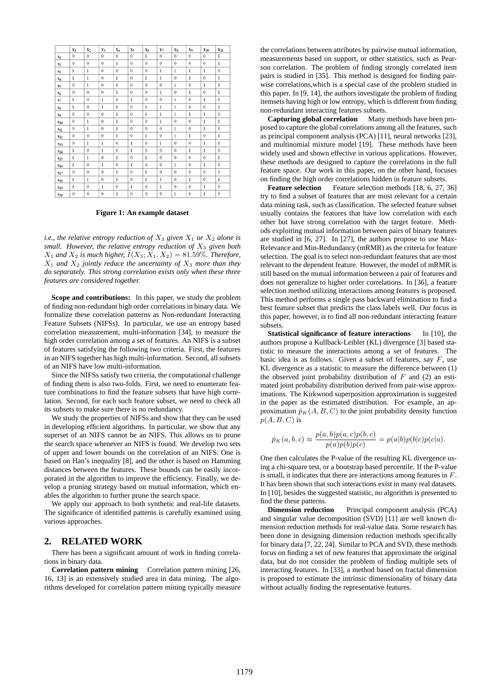|                | $x_1$        | X <sub>2</sub> | $X_3$           | $X_4$        | X5             | $X_6$        | X <sub>7</sub> | X <sub>S</sub> | Xo             | $X_{10}$            | $x_{11}$       |
|----------------|--------------|----------------|-----------------|--------------|----------------|--------------|----------------|----------------|----------------|---------------------|----------------|
| s <sub>1</sub> | $\theta$     | $\theta$       | 0               | $\mathbf{0}$ | $\overline{0}$ | $\mathbf{1}$ | $\theta$       | $\theta$       | $\theta$       | $\mathbf{0}$        | 1              |
| S <sub>2</sub> | $\theta$     | $\theta$       | $\theta$        | $\mathbf{1}$ | $\theta$       | $\theta$     | $\theta$       | $\theta$       | $\theta$       | $\theta$            | $\mathbf{I}$   |
| $S_3$          | $\mathbf{1}$ | $\mathbf{1}$   | $\theta$        | $\theta$     | $\theta$       | $\theta$     | $\mathbf{1}$   | $\mathbf{1}$   | $\mathbf{1}$   | $\mathbf{I}$        | $\theta$       |
| $S_4$          | $\mathbf{1}$ | $\mathbf{1}$   | $\theta$        | $\mathbf{1}$ | $\theta$       | $\mathbf{1}$ | $\mathbf{1}$   | $\theta$       | $\mathbf{I}$   | $\theta$            | $\mathbf{1}$   |
| Ss.            | $\theta$     | $\mathbf{1}$   | $\bf{0}$        | $\mathbf{1}$ | $\theta$       | $\theta$     | $\theta$       | $\mathbf{1}$   | $\theta$       | $\mathbf{I}$        | $\mathbf{1}$   |
| $S_6$          | $\theta$     | $\theta$       | $\theta$        | $\mathbf{1}$ | $\theta$       | $\theta$     | $\mathbf{1}$   | $\theta$       | $\mathbf{1}$   | $\theta$            | $\mathbf{1}$   |
| S <sub>7</sub> | $\mathbf{1}$ | $\theta$       | $\mathbf{1}$    | $\mathbf{1}$ | $\mathbf{1}$   | $\theta$     | $\mathbf{0}$   | $\mathbf{1}$   | $\theta$       | $\mathbf{1}$        | $\theta$       |
| $S_8$          | $\mathbf{I}$ | $\theta$       | $\mathbf{I}$    | $\mathbf{0}$ | $\overline{0}$ | $\bf{l}$     | $\mathbf{I}$   | $\mathbf{1}$   | $\theta$       | $\theta$            | $\mathbf{I}$   |
| S9             | $\theta$     | $\theta$       | $\bf{0}$        | l            | $\theta$       | 1            | $\mathbf{1}$   | $\mathbf{1}$   | $\mathbf{1}$   | $\mathbf{I}$        | $\mathbf{0}$   |
| $S_{10}$       | $\theta$     | $\mathbf{1}$   | $\theta$        | $\mathbf{1}$ | $\theta$       | $\theta$     | $\mathbf{1}$   | $\theta$       | $\theta$       | $\mathbf{I}$        | $\mathbf{I}$   |
| $s_{11}$       | $\theta$     | $\mathbf{1}$   | $\mathbf{0}$    | 1            | $\theta$       | $\theta$     | $\theta$       | $\mathbf{1}$   | $\theta$       | 1                   | $\mathbf 0$    |
| $S_{12}$       | $\theta$     | $\theta$       | $\bf{0}$        | 1            | $\theta$       | 1            | $\mathbf{0}$   | $\mathbf{1}$   | $\mathbf{1}$   | $\mathbf{0}$        | $\mathbf{I}$   |
| $S_{13}$       | $\theta$     | 1              | $\mathbf{I}$    | $\theta$     | $\mathbf{1}$   | $\theta$     | $\mathbf{I}$   | $\theta$       | $\theta$       | 1                   | $\theta$       |
| $S_{14}$       | $\bf{l}$     | $\theta$       | $\mathbf{1}$    | $\theta$     | $\mathbf{1}$   | $\theta$     | $\theta$       | $\theta$       | $\mathbf{1}$   | $\overline{1}$      | $\mathbf{0}$   |
| $S_{15}$       | $\mathbf{I}$ | $\mathbf{1}$   | $\overline{0}$  | $\mathbf{1}$ | $\overline{0}$ | 1            | $\theta$       | $\theta$       | $\theta$       | $\theta$            | $\mathbf{1}$   |
| $S_{16}$       | 1            | $\theta$       | $\mathbf{I}$    | $\theta$     | $\mathbf{1}$   | $\theta$     | $\theta$       | 1              | $\theta$       | ī                   | $\theta$       |
| $s_{17}$       | $\theta$     | $\theta$       | $\theta$        | $\mathbf{1}$ | $\theta$       | $\mathbf{1}$ | $\theta$       | $\theta$       | $\theta$       | $\theta$            | $\theta$       |
| $S_{18}$       | $\bf{l}$     | $\mathbf{1}$   | $\overline{0}$  | $\mathbf{I}$ | $\theta$       | $\bf{l}$     | $\mathbf{1}$   | $\theta$       | $\mathbf{1}$   | $\ddot{\mathbf{0}}$ | $\mathbf{I}$   |
| $S_{19}$       | 1            | $\overline{0}$ | 1               | $\mathbf 0$  | $\mathbf{1}$   | $\mathbf{0}$ | $\mathbf{1}$   | $\overline{0}$ | $\overline{0}$ | 1                   | $\overline{0}$ |
| San            | $\Omega$     | $\overline{0}$ | $\ddot{\Omega}$ | ī            | $\theta$       | $\theta$     | $\theta$       | $\mathbf{1}$   | $\theta$       | 1                   | $\overline{0}$ |

**Figure 1: An example dataset**

*i.e., the relative entropy reduction of*  $X_3$  *given*  $X_1$  *or*  $X_2$  *alone is small. However, the relative entropy reduction of* X<sup>3</sup> *given both*  $X_1$  *and*  $X_2$  *is much higher,*  $I(X_3; X_1, X_2) = 81.59\%$ *. Therefore,*  $X_1$  *and*  $X_2$  *jointly reduce the uncertainty of*  $X_3$  *more than they do separately. This strong correlation exists only when these three features are considered together.*

**Scope and contributions:** In this paper, we study the problem of finding non-redundant high order correlations in binary data. We formalize these correlation patterns as Non-redundant Interacting Feature Subsets (NIFSs). In particular, we use an entropy based correlation measurement, multi-information [34], to measure the high order correlation among a set of features. An NIFS is a subset of features satisfying the following two criteria. First, the features in an NIFS together has high multi-information. Second, all subsets of an NIFS have low multi-information.

Since the NIFSs satisfy two criteria, the computational challenge of finding them is also two-folds. First, we need to enumerate feature combinations to find the feature subsets that have high correlation. Second, for each such feature subset, we need to check all its subsets to make sure there is no redundancy.

We study the properties of NIFSs and show that they can be used in developing efficient algorithms. In particular, we show that any superset of an NIFS cannot be an NIFS. This allows us to prune the search space whenever an NIFS is found. We develop two sets of upper and lower bounds on the correlation of an NIFS. One is based on Han's inequality [8], and the other is based on Hamming distances between the features. These bounds can be easily incorporated in the algorithm to improve the efficiency. Finally, we develop a pruning strategy based on mutual information, which enables the algorithm to further prune the search space.

We apply our approach to both synthetic and real-life datasets. The significance of identified patterns is carefully examined using various approaches.

## **2. RELATED WORK**

There has been a significant amount of work in finding correlations in binary data.

**Correlation pattern mining** Correlation pattern mining [26, 16, 13] is an extensively studied area in data mining. The algorithms developed for correlation pattern mining typically measure

the correlations between attributes by pairwise mutual information, measurements based on support, or other statistics, such as Pearson correlation. The problem of finding strongly correlated item pairs is studied in [35]. This method is designed for finding pairwise correlations,which is a special case of the problem studied in this paper. In [9, 14], the authors investigate the problem of finding itemsets having high or low entropy, which is different from finding non-redundant interacting features subsets.

**Capturing global correlation** Many methods have been proposed to capture the global correlations among all the features, such as principal component analysis (PCA) [11], neural networks [23], and multinomial mixture model [19]. These methods have been widely used and shown effective in various applications. However, these methods are designed to capture the correlations in the full feature space. Our work in this paper, on the other hand, focuses on finding the high order correlations hidden in feature subsets.

Feature selection Feature selection methods [18, 6, 27, 36] try to find a subset of features that are most relevant for a certain data mining task, such as classification. The selected feature subset usually contains the features that have low correlation with each other but have strong correlation with the target feature. Methods exploiting mutual information between pairs of binary features are studied in [6, 27]. In [27], the authors propose to use Max-Relevance and Min-Redundancy (mRMR) as the criteria for feature selection. The goal is to select non-redundant features that are most relevant to the dependent feature. However, the model of mRMR is still based on the mutual information between a pair of features and does not generalize to higher order correlations. In [36], a feature selection method utilizing interactions among features is proposed. This method performs a single pass backward elimination to find a best feature subset that predicts the class labels well. Our focus in this paper, however, is to find all non-redundant interacting feature subsets.

**Statistical significance of feature interactions** In [10], the authors propose a Kullback-Leibler (KL) divergence [3] based statistic to measure the interactions among a set of features. The basic idea is as follows. Given a subset of features, say  $F$ , use KL divergence as a statistic to measure the difference between (1) the observed joint probability distribution of  $F$  and (2) an estimated joint probability distribution derived from pair-wise approximations. The Kirkwood superposition approximation is suggested in the paper as the estimated distribution. For example, an approximation  $\hat{p}_K(A, B, C)$  to the joint probability density function  $p(A, B, C)$  is

$$
\hat{p}_K(a,b,c) \approx \frac{p(a,b)p(a,c)p(b,c)}{p(a)p(b)p(c)} = p(a|b)p(b|c)p(c|a).
$$

One then calculates the P-value of the resulting KL divergence using a chi-square test, or a bootstrap based percentile. If the P-value is small, it indicates that there are interactions among features in F. It has been shown that such interactions exist in many real datasets. In [10], besides the suggested statistic, no algorithm is presented to find the these patterns.

**Dimension reduction** Principal component analysis (PCA) and singular value decomposition (SVD) [11] are well known dimension reduction methods for real-value data. Some research has been done in designing dimension reduction methods specifically for binary data [7, 22, 24]. Similar to PCA and SVD, these methods focus on finding a set of new features that approximate the original data, but do not consider the problem of finding multiple sets of interacting features. In [33], a method based on fractal dimension is proposed to estimate the intrinsic dimensionality of binary data without actually finding the representative features.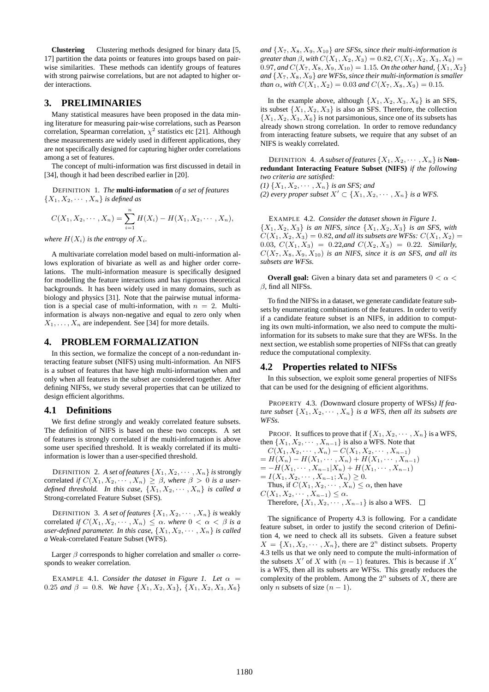**Clustering** Clustering methods designed for binary data [5, 17] partition the data points or features into groups based on pairwise similarities. These methods can identify groups of features with strong pairwise correlations, but are not adapted to higher order interactions.

### **3. PRELIMINARIES**

Many statistical measures have been proposed in the data mining literature for measuring pair-wise correlations, such as Pearson correlation, Spearman correlation,  $\chi^2$  statistics etc [21]. Although these measurements are widely used in different applications, they are not specifically designed for capturing higher order correlations among a set of features.

The concept of multi-information was first discussed in detail in [34], though it had been described earlier in [20].

DEFINITION 1. *The* **multi-information** *of a set of features*  $\{X_1, X_2, \cdots, X_n\}$  *is defined as* 

$$
C(X_1, X_2, \cdots, X_n) = \sum_{i=1}^n H(X_i) - H(X_1, X_2, \cdots, X_n),
$$

*where*  $H(X_i)$  *is the entropy of*  $X_i$ *.* 

A multivariate correlation model based on multi-information allows exploration of bivariate as well as and higher order correlations. The multi-information measure is specifically designed for modelling the feature interactions and has rigorous theoretical backgrounds. It has been widely used in many domains, such as biology and physics [31]. Note that the pairwise mutual information is a special case of multi-information, with  $n = 2$ . Multiinformation is always non-negative and equal to zero only when  $X_1, \ldots, X_n$  are independent. See [34] for more details.

### **4. PROBLEM FORMALIZATION**

In this section, we formalize the concept of a non-redundant interacting feature subset (NIFS) using multi-information. An NIFS is a subset of features that have high multi-information when and only when all features in the subset are considered together. After defining NIFSs, we study several properties that can be utilized to design efficient algorithms.

# **4.1 Definitions**

We first define strongly and weakly correlated feature subsets. The definition of NIFS is based on these two concepts. A set of features is strongly correlated if the multi-information is above some user specified threshold. It is weakly correlated if its multiinformation is lower than a user-specified threshold.

DEFINITION 2. A set of features  $\{X_1, X_2, \cdots, X_n\}$  is strongly correlated *if*  $C(X_1, X_2, \cdots, X_n) \geq \beta$ , where  $\beta > 0$  *is a userdefined threshold. In this case,*  $\{X_1, X_2, \cdots, X_n\}$  *is called a* Strong-correlated Feature Subset (SFS)*.*

DEFINITION 3. A set of features  $\{X_1, X_2, \cdots, X_n\}$  is weakly correlated *if*  $C(X_1, X_2, \cdots, X_n) \leq \alpha$ . *where*  $0 < \alpha < \beta$  *is a user-defined parameter. In this case,*  $\{X_1, X_2, \cdots, X_n\}$  *is called a* Weak-correlated Feature Subset (WFS)*.*

Larger  $\beta$  corresponds to higher correlation and smaller  $\alpha$  corresponds to weaker correlation.

EXAMPLE 4.1. *Consider the dataset in Figure 1. Let*  $\alpha$  = 0.25 *and*  $\beta = 0.8$ *. We have*  $\{X_1, X_2, X_3\}$ ,  $\{X_1, X_2, X_3, X_6\}$  *and*  $\{X_7, X_8, X_9, X_{10}\}$  *are SFSs, since their multi-information is greater than*  $\beta$ *, with*  $C(X_1, X_2, X_3) = 0.82, C(X_1, X_2, X_3, X_6) =$ 0.97*, and*  $C(X_7, X_8, X_9, X_{10}) = 1.15$ *. On the other hand,*  $\{X_1, X_2\}$ and  $\{X_7, X_8, X_9\}$  *are WFSs, since their multi-information is smaller than*  $\alpha$ *, with*  $C(X_1, X_2) = 0.03$  *and*  $C(X_7, X_8, X_9) = 0.15$ *.* 

In the example above, although  $\{X_1, X_2, X_3, X_6\}$  is an SFS, its subset  $\{X_1, X_2, X_3\}$  is also an SFS. Therefore, the collection  $\{X_1, X_2, X_3, X_6\}$  is not parsimonious, since one of its subsets has already shown strong correlation. In order to remove redundancy from interacting feature subsets, we require that any subset of an NIFS is weakly correlated.

DEFINITION 4. A subset of features  $\{X_1, X_2, \cdots, X_n\}$  is **Nonredundant Interacting Feature Subset (NIFS)** *if the following two criteria are satisfied:*

*(1)*  $\{X_1, X_2, \cdots, X_n\}$  *is an SFS; and* (2) every proper subset  $X'$  ⊂  $\{X_1, X_2, \cdots, X_n\}$  *is a WFS.* 

EXAMPLE 4.2. *Consider the dataset shown in Figure 1.*  ${X_1, X_2, X_3}$  *is an NIFS, since*  ${X_1, X_2, X_3}$  *is an SFS, with*  $C(X_1, X_2, X_3) = 0.82$ , and all its subsets are WFSs:  $C(X_1, X_2) =$ 0.03*,*  $C(X_1, X_3) = 0.22$ *, and*  $C(X_2, X_3) = 0.22$ *. Similarly,*  $C(X_7, X_8, X_9, X_{10})$  *is an NIFS, since it is an SFS, and all its subsets are WFSs.*

**Overall goal:** Given a binary data set and parameters  $0 < \alpha <$  $\beta$ , find all NIFSs.

To find the NIFSs in a dataset, we generate candidate feature subsets by enumerating combinations of the features. In order to verify if a candidate feature subset is an NIFS, in addition to computing its own multi-information, we also need to compute the multiinformation for its subsets to make sure that they are WFSs. In the next section, we establish some properties of NIFSs that can greatly reduce the computational complexity.

#### **4.2 Properties related to NIFSs**

In this subsection, we exploit some general properties of NIFSs that can be used for the designing of efficient algorithms.

PROPERTY 4.3. *(*Downward closure property of WFSs*) If feature subset*  $\{X_1, X_2, \cdots, X_n\}$  *is a WFS, then all its subsets are WFSs.*

PROOF. It suffices to prove that if  $\{X_1, X_2, \dots, X_n\}$  is a WFS, then  $\{X_1, X_2, \cdots, X_{n-1}\}$  is also a WFS. Note that

 $C(X_1, X_2, \cdots, X_n) - C(X_1, X_2, \cdots, X_{n-1})$  $= H(X_n) - H(X_1, \cdots, X_n) + H(X_1, \cdots, X_{n-1})$  $= -H(X_1, \cdots, X_{n-1}|X_n) + H(X_1, \cdots, X_{n-1})$ =  $I(X_1, X_2, \cdots, X_{n-1}; X_n) \geq 0.$ Thus, if  $C(X_1, X_2, \dots, X_n) \leq \alpha$ , then have  $C(X_1, X_2, \cdots, X_{n-1}) \leq \alpha.$ Therefore,  $\{X_1, X_2, \cdots, X_{n-1}\}$  is also a WFS.  $\square$ 

The significance of Property 4.3 is following. For a candidate feature subset, in order to justify the second criterion of Definition 4, we need to check all its subsets. Given a feature subset  $X = \{X_1, X_2, \dots, X_n\}$ , there are  $2^n$  distinct subsets. Property 4.3 tells us that we only need to compute the multi-information of the subsets X' of X with  $(n - 1)$  features. This is because if X' is a WFS, then all its subsets are WFSs. This greatly reduces the complexity of the problem. Among the  $2^n$  subsets of X, there are only *n* subsets of size  $(n - 1)$ .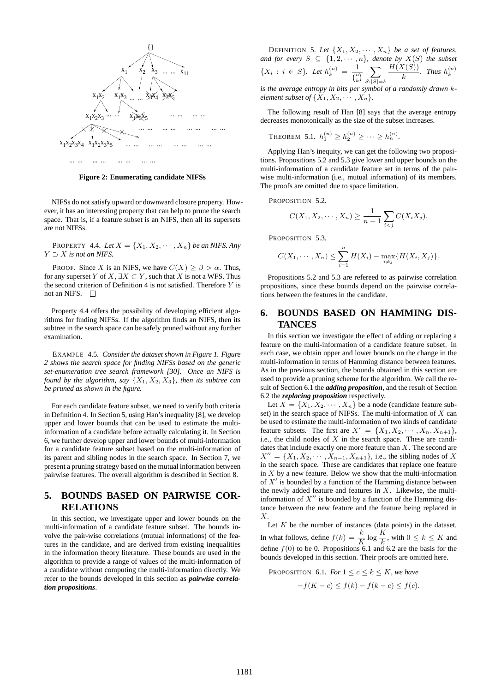

**Figure 2: Enumerating candidate NIFSs**

NIFSs do not satisfy upward or downward closure property. However, it has an interesting property that can help to prune the search space. That is, if a feature subset is an NIFS, then all its supersets are not NIFSs.

PROPERTY 4.4. Let  $X = \{X_1, X_2, \cdots, X_n\}$  be an NIFS. Any  $Y \supset X$  is not an NIFS.

PROOF. Since X is an NIFS, we have  $C(X) \ge \beta > \alpha$ . Thus, for any superset Y of X,  $\exists X \subset Y$ , such that X is not a WFS. Thus the second criterion of Definition 4 is not satisfied. Therefore  $Y$  is not an NIFS. □

Property 4.4 offers the possibility of developing efficient algorithms for finding NIFSs. If the algorithm finds an NIFS, then its subtree in the search space can be safely pruned without any further examination.

EXAMPLE 4.5. *Consider the dataset shown in Figure 1. Figure 2 shows the search space for finding NIFSs based on the generic set-enumeration tree search framework [30]. Once an NIFS is found by the algorithm, say*  $\{X_1, X_2, X_3\}$ *, then its subtree can be pruned as shown in the figure.*

For each candidate feature subset, we need to verify both criteria in Definition 4. In Section 5, using Han's inequality [8], we develop upper and lower bounds that can be used to estimate the multiinformation of a candidate before actually calculating it. In Section 6, we further develop upper and lower bounds of multi-information for a candidate feature subset based on the multi-information of its parent and sibling nodes in the search space. In Section 7, we present a pruning strategy based on the mutual information between pairwise features. The overall algorithm is described in Section 8.

# **5. BOUNDS BASED ON PAIRWISE COR-RELATIONS**

In this section, we investigate upper and lower bounds on the multi-information of a candidate feature subset. The bounds involve the pair-wise correlations (mutual informations) of the features in the candidate, and are derived from existing inequalities in the information theory literature. These bounds are used in the algorithm to provide a range of values of the multi-information of a candidate without computing the multi-information directly. We refer to the bounds developed in this section as *pairwise correlation propositions*.

DEFINITION 5. Let  $\{X_1, X_2, \cdots, X_n\}$  be a set of features, and for every  $S \subseteq \{1, 2, \cdots, n\}$ , denote by  $X(S)$  the subset  $\{X_i : i \in S\}$ . Let  $h_k^{(n)} = \frac{1}{\sqrt{n}}$  $\frac{1}{\binom{n}{k}} \sum_{S:|S|=n}$  $S$ : $|S|=k$  $H(X(S))$  $\frac{f(x)}{k}$ . *Thus*  $h_k^{(n)}$ 

*is the average entropy in bits per symbol of a randomly drawn* k*element subset of*  $\{X_1, X_2, \cdots, X_n\}$ .

The following result of Han [8] says that the average entropy decreases monotonically as the size of the subset increases.

THEOREM 5.1. 
$$
h_1^{(n)} \ge h_2^{(n)} \ge \cdots \ge h_n^{(n)}
$$
.

Applying Han's inequity, we can get the following two propositions. Propositions 5.2 and 5.3 give lower and upper bounds on the multi-information of a candidate feature set in terms of the pairwise multi-information (i.e., mutual information) of its members. The proofs are omitted due to space limitation.

PROPOSITION 5.2.

$$
C(X_1, X_2, \cdots, X_n) \ge \frac{1}{n-1} \sum_{i < j} C(X_i X_j).
$$

PROPOSITION 5.3.

$$
C(X_1, \dots, X_n) \leq \sum_{i=1}^n H(X_i) - \max_{i \neq j} \{H(X_i, X_j)\}.
$$

Propositions 5.2 and 5.3 are refereed to as pairwise correlation propositions, since these bounds depend on the pairwise correlations between the features in the candidate.

# **6. BOUNDS BASED ON HAMMING DIS-TANCES**

In this section we investigate the effect of adding or replacing a feature on the multi-information of a candidate feature subset. In each case, we obtain upper and lower bounds on the change in the multi-information in terms of Hamming distance between features. As in the previous section, the bounds obtained in this section are used to provide a pruning scheme for the algorithm. We call the result of Section 6.1 the *adding proposition*, and the result of Section 6.2 the *replacing proposition* respectively.

Let  $X = \{X_1, X_2, \dots, X_n\}$  be a node (candidate feature subset) in the search space of NIFSs. The multi-information of  $X$  can be used to estimate the multi-information of two kinds of candidate feature subsets. The first are  $X' = \{X_1, X_2, \dots, X_n, X_{n+1}\},\$ i.e., the child nodes of  $X$  in the search space. These are candidates that include exactly one more feature than X. The second are  $X'' = \{X_1, X_2, \cdots, X_{n-1}, X_{n+1}\}\)$ , i.e., the sibling nodes of X in the search space. These are candidates that replace one feature in  $X$  by a new feature. Below we show that the multi-information of  $X'$  is bounded by a function of the Hamming distance between the newly added feature and features in  $X$ . Likewise, the multiinformation of  $X''$  is bounded by a function of the Hamming distance between the new feature and the feature being replaced in  $X$ .

Let  $K$  be the number of instances (data points) in the dataset. In what follows, define  $f(k) = \frac{k}{K} \log \frac{K}{k}$ , with  $0 \le k \le K$  and define  $f(0)$  to be 0. Propositions 6.1 and 6.2 are the basis for the bounds developed in this section. Their proofs are omitted here.

PROPOSITION 6.1. *For*  $1 \leq c \leq k \leq K$ , we have  $-f(K - c) \leq f(k) - f(k - c) \leq f(c).$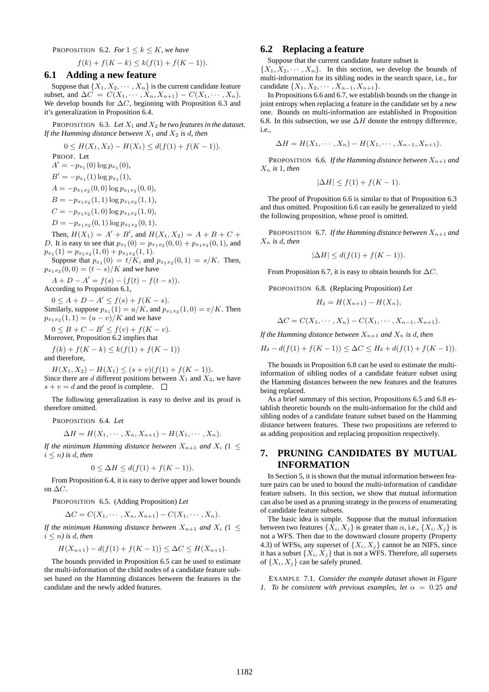PROPOSITION 6.2. *For*  $1 \leq k \leq K$ *, we have* 

$$
f(k) + f(K - k) \le k(f(1) + f(K - 1)).
$$

### **6.1 Adding a new feature**

Suppose that  $\{X_1, X_2, \dots, X_n\}$  is the current candidate feature subset, and  $\Delta C = C(X_1, \cdots, X_n, X_{n+1}) - C(X_1, \cdots, X_n)$ . We develop bounds for  $\Delta C$ , beginning with Proposition 6.3 and it's generalization in Proposition 6.4.

PROPOSITION 6.3. Let  $X_1$  and  $X_2$  be two features in the dataset. *If the Hamming distance between*  $X_1$  *and*  $X_2$  *is d, then* 

$$
0 \leq H(X_1, X_2) - H(X_1) \leq d(f(1) + f(K - 1)).
$$
  
\nPROOF. Let  
\n
$$
A' = -p_{x_1}(0) \log p_{x_1}(0),
$$
  
\n
$$
B' = -p_{x_1}(1) \log p_{x_1}(1),
$$
  
\n
$$
A = -p_{x_1x_2}(0, 0) \log p_{x_1x_2}(0, 0),
$$
  
\n
$$
B = -p_{x_1x_2}(1, 1) \log p_{x_1x_2}(1, 1),
$$
  
\n
$$
C = -p_{x_1x_2}(1, 0) \log p_{x_1x_2}(1, 0),
$$
  
\n
$$
D = -p_{x_1x_2}(0, 1) \log p_{x_1x_2}(0, 1).
$$
  
\nThen,  $H(X_1) = A' + B'$ , and  $H(X_1, X_2) = A + B + C +$ 

*D*. It is easy to see that  $p_{x_1}(0) = p_{x_1x_2}(0,0) + p_{x_1x_2}(0,1)$ , and  $p_{x_1}(1) = p_{x_1x_2}(1,0) + p_{x_1x_2}(1,1).$ 

Suppose that  $p_{x_1}(0) = t/K$ , and  $p_{x_1x_2}(0, 1) = s/K$ . Then,  $p_{x_1x_2}(0,0) = (t - s)/K$  and we have

$$
A + D - A' = f(s) - (f(t) - f(t - s)).
$$
  
According to Proposition 6.1,

 $0 \leq A + D - A' \leq f(s) + f(K - s).$ Similarly, suppose  $p_{x_1}(1) = u/K$ , and  $p_{x_1x_2}(1,0) = v/K$ . Then  $p_{x_1x_2}(1, 1) = (u - v)/K$  and we have

 $0 \leq B + C - B' \leq f(v) + f(K - v).$ Moreover, Proposition 6.2 implies that

 $f(k) + f(K - k) \leq k(f(1) + f(K - 1))$ 

and therefore,

 $H(X_1, X_2) - H(X_1) \leq (s+v)(f(1) + f(K-1)).$ Since there are d different positions between  $X_1$  and  $X_2$ , we have  $s + v = d$  and the proof is complete.  $\Box$ 

The following generalization is easy to derive and its proof is therefore omitted.

PROPOSITION 6.4. *Let*

$$
\Delta H = H(X_1, \cdots, X_n, X_{n+1}) - H(X_1, \cdots, X_n).
$$

*If the minimum Hamming distance between*  $X_{n+1}$  *and*  $X_i$  (1  $\leq$  $i \leq n$ *)* is d, then

$$
0 \le \Delta H \le d(f(1) + f(K - 1)).
$$

From Proposition 6.4, it is easy to derive upper and lower bounds on  $\Delta C$ .

PROPOSITION 6.5. (Adding Proposition) *Let*

$$
\Delta C = C(X_1, \cdots, X_n, X_{n+1}) - C(X_1, \cdots, X_n).
$$

*If the minimum Hamming distance between*  $X_{n+1}$  *and*  $X_i$  (1  $\leq$  $i \leq n$ *)* is d, then

$$
H(X_{n+1}) - d(f(1) + f(K - 1)) \leq \Delta C \leq H(X_{n+1}).
$$

The bounds provided in Proposition 6.5 can be used to estimate the multi-information of the child nodes of a candidate feature subset based on the Hamming distances between the features in the candidate and the newly added features.

# **6.2 Replacing a feature**

Suppose that the current candidate feature subset is

 $\{X_1, X_2, \cdots, X_n\}$ . In this section, we develop the bounds of multi-information for its sibling nodes in the search space, i.e., for candidate  $\{X_1, X_2, \cdots, X_{n-1}, X_{n+1}\}.$ 

In Propositions 6.6 and 6.7, we establish bounds on the change in joint entropy when replacing a feature in the candidate set by a new one. Bounds on multi-information are established in Proposition 6.8. In this subsection, we use  $\Delta H$  denote the entropy difference, i.e.,

$$
\Delta H = H(X_1, \cdots, X_n) - H(X_1, \cdots, X_{n-1}, X_{n+1}).
$$

PROPOSITION 6.6. *If the Hamming distance between*  $X_{n+1}$  *and*  $X_n$  *is* 1*, then* 

$$
|\Delta H| \le f(1) + f(K - 1).
$$

The proof of Proposition 6.6 is similar to that of Proposition 6.3 and thus omitted. Proposition 6.6 can easily be generalized to yield the following proposition, whose proof is omitted.

PROPOSITION 6.7. *If the Hamming distance between*  $X_{n+1}$  *and*  $X_n$  *is d, then* 

$$
|\Delta H| \le d(f(1) + f(K - 1)).
$$

From Proposition 6.7, it is easy to obtain bounds for  $\Delta C$ .

PROPOSITION 6.8. (Replacing Proposition) *Let*

$$
H_{\delta} = H(X_{n+1}) - H(X_n),
$$

$$
\Delta C = C(X_1, \cdots, X_n) - C(X_1, \cdots, X_{n-1}, X_{n+1}).
$$

*If the Hamming distance between*  $X_{n+1}$  *and*  $X_n$  *is d, then* 

 $H_{\delta} - d(f(1) + f(K - 1)) \leq \Delta C \leq H_{\delta} + d(f(1) + f(K - 1)).$ 

The bounds in Proposition 6.8 can be used to estimate the multiinformation of sibling nodes of a candidate feature subset using the Hamming distances between the new features and the features being replaced.

As a brief summary of this section, Propositions 6.5 and 6.8 establish theoretic bounds on the multi-information for the child and sibling nodes of a candidate feature subset based on the Hamming distance between features. These two propositions are referred to as adding proposition and replacing proposition respectively.

# **7. PRUNING CANDIDATES BY MUTUAL INFORMATION**

In Section 5, it is shown that the mutual information between feature pairs can be used to bound the multi-information of candidate feature subsets. In this section, we show that mutual information can also be used as a pruning strategy in the process of enumerating of candidate feature subsets.

The basic idea is simple. Suppose that the mutual information between two features  $\{X_i, X_j\}$  is greater than  $\alpha$ , i.e.,  $\{X_i, X_j\}$  is not a WFS. Then due to the downward closure property (Property 4.3) of WFSs, any superset of  $\{X_i, X_j\}$  cannot be an NIFS, since it has a subset  $\{X_i, X_j\}$  that is not a WFS. Therefore, all supersets of  $\{X_i, X_j\}$  can be safely pruned.

EXAMPLE 7.1. *Consider the example dataset shown in Figure 1. To be consistent with previous examples, let*  $\alpha = 0.25$  *and*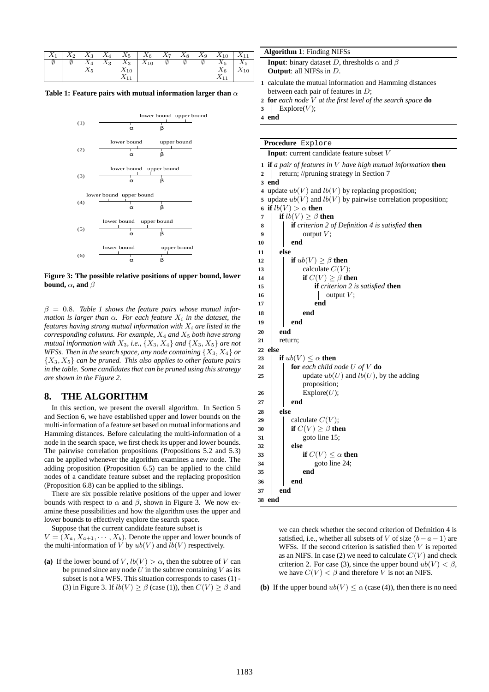|  |       | $X_1 \mid X_2 \mid X_3 \mid X_4 \mid X_5 \mid X_6 \mid X_7 \mid X_8 \mid X_9 \mid X_{10} \mid X_{11}$ |  |  |                             |                  |
|--|-------|-------------------------------------------------------------------------------------------------------|--|--|-----------------------------|------------------|
|  |       | $\emptyset$   $X_4$   $X_3$   $X_3$   $X_{10}$   $\emptyset$   $\emptyset$                            |  |  | $\emptyset$   $X_5$   $X_5$ |                  |
|  | $X_5$ | $X_{10}$                                                                                              |  |  |                             | $X_6$   $X_{10}$ |
|  |       |                                                                                                       |  |  |                             |                  |

#### **Table 1: Feature pairs with mutual information larger than** α



**Figure 3: The possible relative positions of upper bound, lower bound,**  $\alpha$ , and  $\beta$ 

 $\beta = 0.8$ *. Table 1 shows the feature pairs whose mutual information is larger than*  $\alpha$ *. For each feature*  $X_i$  *in the dataset, the features having strong mutual information with*  $X_i$  *are listed in the corresponding columns. For example,* X<sup>4</sup> *and* X<sup>5</sup> *both have strong mutual information with*  $X_3$ , *i.e.*,  $\{X_3, X_4\}$  *and*  $\{X_3, X_5\}$  *are not WFSs. Then in the search space, any node containing*  $\{X_3, X_4\}$  *or* {X3, X5} *can be pruned. This also applies to other feature pairs in the table. Some candidates that can be pruned using this strategy are shown in the Figure 2.*

# **8. THE ALGORITHM**

In this section, we present the overall algorithm. In Section 5 and Section 6, we have established upper and lower bounds on the multi-information of a feature set based on mutual informations and Hamming distances. Before calculating the multi-information of a node in the search space, we first check its upper and lower bounds. The pairwise correlation propositions (Propositions 5.2 and 5.3) can be applied whenever the algorithm examines a new node. The adding proposition (Proposition 6.5) can be applied to the child nodes of a candidate feature subset and the replacing proposition (Proposition 6.8) can be applied to the siblings.

There are six possible relative positions of the upper and lower bounds with respect to  $\alpha$  and  $\beta$ , shown in Figure 3. We now examine these possibilities and how the algorithm uses the upper and lower bounds to effectively explore the search space.

Suppose that the current candidate feature subset is  $V = (X_a, X_{a+1}, \cdots, X_b)$ . Denote the upper and lower bounds of the multi-information of V by  $ub(V)$  and  $\overline{lb(V)}$  respectively.

(a) If the lower bound of  $V$ ,  $lb(V) > \alpha$ , then the subtree of V can be pruned since any node  $U$  in the subtree containing  $V$  as its subset is not a WFS. This situation corresponds to cases (1) - (3) in Figure 3. If  $lb(V) \ge \beta$  (case (1)), then  $C(V) \ge \beta$  and

**Input**: binary dataset D, thresholds  $\alpha$  and  $\beta$ **Output**: all NIFSs in D.

**1** calculate the mutual information and Hamming distances between each pair of features in  $D$ ;

**2 for** *each node*  $\overline{V}$  *at the first level of the search space* **do**<br> **2**  $\overline{V}$  **Explore** $(V)$ **.** 

 $3$  | Explore(V);

**4 end**

| Procedure Explore                                                       |
|-------------------------------------------------------------------------|
| Input: current candidate feature subset $V$                             |
| <b>1 if</b> a pair of features in $V$ have high mutual information then |
| return; //pruning strategy in Section 7<br>$\overline{2}$               |
| 3 end                                                                   |
| 4 update $ub(V)$ and $lb(V)$ by replacing proposition;                  |
| 5 update $ub(V)$ and $lb(V)$ by pairwise correlation proposition;       |
| 6 if $lb(V) > \alpha$ then                                              |
| if $lb(V) \geq \beta$ then<br>7                                         |
| if criterion 2 of Definition 4 is satisfied then<br>8                   |
| output $V$ ;<br>9                                                       |
| end<br>10                                                               |
| else<br>11                                                              |
| if $ub(V) \geq \beta$ then<br>12                                        |
| calculate $C(V)$ ;<br>13                                                |
| if $C(V) \geq \beta$ then<br>14                                         |
| if criterion 2 is satisfied then<br>15                                  |
| output $V$ ;<br>16                                                      |
| end<br>17                                                               |
| end<br>18                                                               |
| end<br>19                                                               |
| end<br>20                                                               |
| return;<br>21                                                           |
| 22 else                                                                 |
| if $ub(V) \leq \alpha$ then<br>23                                       |
| <b>for</b> each child node $U$ of $V$ <b>do</b><br>24                   |
| update $ub(U)$ and $lb(U)$ , by the adding<br>25                        |
| proposition;                                                            |
| Explore(U);<br>26                                                       |
| end<br>27                                                               |
| else<br>28                                                              |
| calculate $C(V)$ ;<br>29                                                |
| if $C(V) \geq \beta$ then<br>30                                         |
| goto line 15;<br>31                                                     |
| else<br>32                                                              |
| if $C(V) \leq \alpha$ then<br>33                                        |
| goto line 24;<br>34                                                     |
| end<br>35                                                               |
| end<br>36                                                               |
| end<br>37                                                               |
| end<br>38                                                               |

we can check whether the second criterion of Definition 4 is satisfied, i.e., whether all subsets of V of size  $(b-a-1)$  are WFSs. If the second criterion is satisfied then  $V$  is reported as an NIFS. In case (2) we need to calculate  $C(V)$  and check criterion 2. For case (3), since the upper bound  $ub(V) < \beta$ , we have  $C(V) < \beta$  and therefore V is not an NIFS.

**(b)** If the upper bound  $ub(V) \leq \alpha$  (case (4)), then there is no need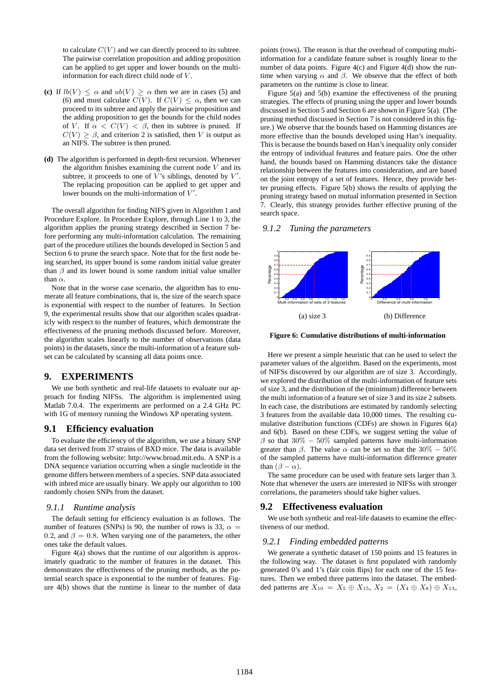to calculate  $C(V)$  and we can directly proceed to its subtree. The pairwise correlation proposition and adding proposition can be applied to get upper and lower bounds on the multiinformation for each direct child node of V .

- **(c)** If  $lb(V) \leq \alpha$  and  $ub(V) \geq \alpha$  then we are in cases (5) and (6) and must calculate  $C(V)$ . If  $C(V) \leq \alpha$ , then we can proceed to its subtree and apply the pairwise proposition and the adding proposition to get the bounds for the child nodes of V. If  $\alpha \, \langle C(V) \, \langle \, \beta \rangle$ , then its subtree is pruned. If  $C(V) \geq \beta$ , and criterion 2 is satisfied, then V is output as an NIFS. The subtree is then pruned.
- **(d)** The algorithm is performed in depth-first recursion. Whenever the algorithm finishes examining the current node  $V$  and its subtree, it proceeds to one of  $\overline{V}$ 's siblings, denoted by  $V'$ . The replacing proposition can be applied to get upper and lower bounds on the multi-information of  $V'$ .

The overall algorithm for finding NIFS given in Algorithm 1 and Procedure Explore. In Procedure Explore, through Line 1 to 3, the algorithm applies the pruning strategy described in Section 7 before performing any multi-information calculation. The remaining part of the procedure utilizes the bounds developed in Section 5 and Section 6 to prune the search space. Note that for the first node being searched, its upper bound is some random initial value greater than  $\beta$  and its lower bound is some random initial value smaller than  $\alpha$ 

Note that in the worse case scenario, the algorithm has to enumerate all feature combinations, that is, the size of the search space is exponential with respect to the number of features. In Section 9, the experimental results show that our algorithm scales quadraticly with respect to the number of features, which demonstrate the effectiveness of the pruning methods discussed before. Moreover, the algorithm scales linearly to the number of observations (data points) in the datasets, since the multi-information of a feature subset can be calculated by scanning all data points once.

# **9. EXPERIMENTS**

We use both synthetic and real-life datasets to evaluate our approach for finding NIFSs. The algorithm is implemented using Matlab 7.0.4. The experiments are performed on a 2.4 GHz PC with 1G of memory running the Windows XP operating system.

#### **9.1 Efficiency evaluation**

To evaluate the efficiency of the algorithm, we use a binary SNP data set derived from 37 strains of BXD mice. The data is available from the following website: http://www.broad.mit.edu. A SNP is a DNA sequence variation occurring when a single nucleotide in the genome differs between members of a species. SNP data associated with inbred mice are usually binary. We apply our algorithm to 100 randomly chosen SNPs from the dataset.

#### *9.1.1 Runtime analysis*

The default setting for efficiency evaluation is as follows. The number of features (SNPs) is 90, the number of rows is 33,  $\alpha =$ 0.2, and  $\beta = 0.8$ . When varying one of the parameters, the other ones take the default values.

Figure 4(a) shows that the runtime of our algorithm is approximately quadratic to the number of features in the dataset. This demonstrates the effectiveness of the pruning methods, as the potential search space is exponential to the number of features. Figure 4(b) shows that the runtime is linear to the number of data

points (rows). The reason is that the overhead of computing multiinformation for a candidate feature subset is roughly linear to the number of data points. Figure 4(c) and Figure 4(d) show the runtime when varying  $\alpha$  and  $\beta$ . We observe that the effect of both parameters on the runtime is close to linear.

Figure 5(a) and 5(b) examine the effectiveness of the pruning strategies. The effects of pruning using the upper and lower bounds discussed in Section 5 and Section 6 are shown in Figure 5(a). (The pruning method discussed in Section 7 is not considered in this figure.) We observe that the bounds based on Hamming distances are more effective than the bounds developed using Han's inequality. This is because the bounds based on Han's inequality only consider the entropy of individual features and feature pairs. One the other hand, the bounds based on Hamming distances take the distance relationship between the features into consideration, and are based on the joint entropy of a set of features. Hence, they provide better pruning effects. Figure 5(b) shows the results of applying the pruning strategy based on mutual information presented in Section 7. Clearly, this strategy provides further effective pruning of the search space.

#### *9.1.2 Tuning the parameters*





Here we present a simple heuristic that can be used to select the parameter values of the algorithm. Based on the experiments, most of NIFSs discovered by our algorithm are of size 3. Accordingly, we explored the distribution of the multi-information of feature sets of size 3, and the distribution of the (minimum) difference between the multi information of a feature set of size 3 and its size 2 subsets. In each case, the distributions are estimated by randomly selecting 3 features from the available data 10,000 times. The resulting cumulative distribution functions (CDFs) are shown in Figures 6(a) and 6(b). Based on these CDFs, we suggest setting the value of β so that  $30\% - 50\%$  sampled patterns have multi-information greater than  $\beta$ . The value  $\alpha$  can be set so that the 30% – 50% of the sampled patterns have multi-information difference greater than  $(\beta - \alpha)$ .

The same procedure can be used with feature sets larger than 3. Note that whenever the users are interested in NIFSs with stronger correlations, the parameters should take higher values.

### **9.2 Effectiveness evaluation**

We use both synthetic and real-life datasets to examine the effectiveness of our method.

#### *9.2.1 Finding embedded patterns*

We generate a synthetic dataset of 150 points and 15 features in the following way. The dataset is first populated with randomly generated 0's and 1's (fair coin flips) for each one of the 15 features. Then we embed three patterns into the dataset. The embedded patterns are  $X_{10} = X_5 \oplus X_{15}$ ,  $X_2 = (X_4 \oplus X_8) \oplus X_{13}$ ,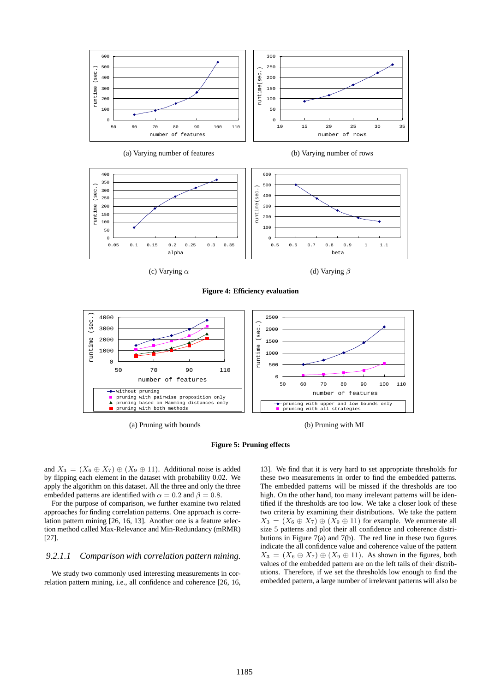



**Figure 4: Efficiency evaluation**



(a) Pruning with bounds





and  $X_3 = (X_6 \oplus X_7) \oplus (X_9 \oplus 11)$ . Additional noise is added by flipping each element in the dataset with probability 0.02. We apply the algorithm on this dataset. All the three and only the three embedded patterns are identified with  $\alpha = 0.2$  and  $\beta = 0.8$ .

For the purpose of comparison, we further examine two related approaches for finding correlation patterns. One approach is correlation pattern mining [26, 16, 13]. Another one is a feature selection method called Max-Relevance and Min-Redundancy (mRMR) [27].

#### *9.2.1.1 Comparison with correlation pattern mining.*

We study two commonly used interesting measurements in correlation pattern mining, i.e., all confidence and coherence [26, 16,

13]. We find that it is very hard to set appropriate thresholds for these two measurements in order to find the embedded patterns. The embedded patterns will be missed if the thresholds are too high. On the other hand, too many irrelevant patterns will be identified if the thresholds are too low. We take a closer look of these two criteria by examining their distributions. We take the pattern  $X_3 = (X_6 \oplus X_7) \oplus (X_9 \oplus 11)$  for example. We enumerate all size 5 patterns and plot their all confidence and coherence distributions in Figure  $7(a)$  and  $7(b)$ . The red line in these two figures indicate the all confidence value and coherence value of the pattern  $X_3 = (X_6 \oplus X_7) \oplus (X_9 \oplus 11)$ . As shown in the figures, both values of the embedded pattern are on the left tails of their distributions. Therefore, if we set the thresholds low enough to find the embedded pattern, a large number of irrelevant patterns will also be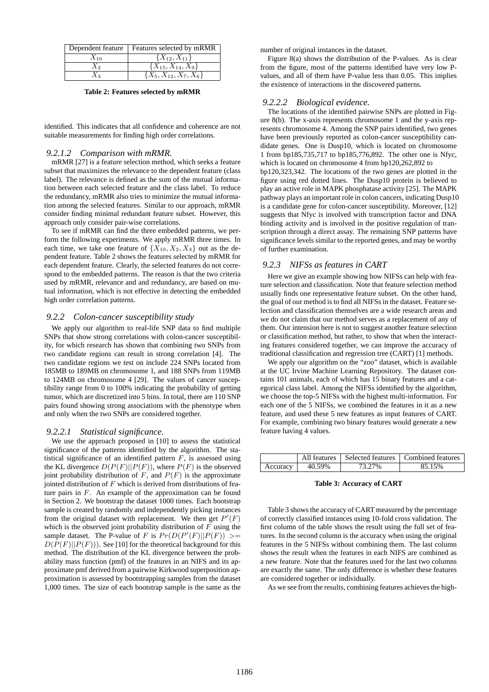| Dependent feature  | Features selected by mRMR   |
|--------------------|-----------------------------|
| $X_{10}$           | $\{X_{12}, X_{11}\}\$       |
| $\scriptstyle X_2$ | $\{X_{15}, X_{14}, X_9\}$   |
| $X_3$              | $\{X_5, X_{12}, X_7, X_6\}$ |

**Table 2: Features selected by mRMR**

identified. This indicates that all confidence and coherence are not suitable measurements for finding high order correlations.

#### *9.2.1.2 Comparison with mRMR.*

mRMR [27] is a feature selection method, which seeks a feature subset that maximizes the relevance to the dependent feature (class label). The relevance is defined as the sum of the mutual information between each selected feature and the class label. To reduce the redundancy, mRMR also tries to minimize the mutual information among the selected features. Similar to our approach, mRMR consider finding minimal redundant feature subset. However, this approach only consider pair-wise correlations.

To see if mRMR can find the three embedded patterns, we perform the following experiments. We apply mRMR three times. In each time, we take one feature of  $\{X_{10}, X_2, X_3\}$  out as the dependent feature. Table 2 shows the features selected by mRMR for each dependent feature. Clearly, the selected features do not correspond to the embedded patterns. The reason is that the two criteria used by mRMR, relevance and and redundancy, are based on mutual information, which is not effective in detecting the embedded high order correlation patterns.

#### *9.2.2 Colon-cancer susceptibility study*

We apply our algorithm to real-life SNP data to find multiple SNPs that show strong correlations with colon-cancer susceptibility, for which research has shown that combining two SNPs from two candidate regions can result in strong correlation [4]. The two candidate regions we test on include 224 SNPs located from 185MB to 189MB on chromosome 1, and 188 SNPs from 119MB to 124MB on chromosome 4 [29]. The values of cancer susceptibility range from 0 to 100% indicating the probability of getting tumor, which are discretized into 5 bins. In total, there are 110 SNP pairs found showing strong associations with the phenotype when and only when the two SNPs are considered together.

#### *9.2.2.1 Statistical significance.*

We use the approach proposed in [10] to assess the statistical significance of the patterns identified by the algorithm. The statistical significance of an identified pattern  $F$ , is assessed using the KL divergence  $D(P(F)||P(F))$ , where  $P(F)$  is the observed joint probability distribution of  $F$ , and  $P(F)$  is the approximate jointed distribution of  $F$  which is derived from distributions of feature pairs in  $F$ . An example of the approximation can be found in Section 2. We bootstrap the dataset 1000 times. Each bootstrap sample is created by randomly and independently picking instances from the original dataset with replacement. We then get  $P'(F)$ which is the observed joint probability distribution of  $F$  using the sample dataset. The P-value of F is  $Pr(D(P'(F)||P(F))) >$  $D(P(F)||P(F))$ . See [10] for the theoretical background for this method. The distribution of the KL divergence between the probability mass function (pmf) of the features in an NIFS and its approximate pmf derived from a pairwise Kirkwood superposition approximation is assessed by bootstrapping samples from the dataset 1,000 times. The size of each bootstrap sample is the same as the number of original instances in the dataset.

Figure 8(a) shows the distribution of the P-values. As is clear from the figure, most of the patterns identified have very low Pvalues, and all of them have P-value less than 0.05. This implies the existence of interactions in the discovered patterns.

#### *9.2.2.2 Biological evidence.*

The locations of the identified pairwise SNPs are plotted in Figure 8(b). The x-axis represents chromosome 1 and the y-axis represents chromosome 4. Among the SNP pairs identified, two genes have been previously reported as colon-cancer susceptibility candidate genes. One is Dusp10, which is located on chromosome 1 from bp185,735,717 to bp185,776,892. The other one is Nfyc, which is located on chromosome 4 from bp120,262,892 to

bp120,323,342. The locations of the two genes are plotted in the figure using red dotted lines. The Dusp10 protein is believed to play an active role in MAPK phosphatase activity [25]. The MAPK pathway plays an important role in colon cancers, indicating Dusp10 is a candidate gene for colon-cancer susceptibility. Moreover, [12] suggests that Nfyc is involved with transcription factor and DNA binding activity and is involved in the positive regulation of transcription through a direct assay. The remaining SNP patterns have significance levels similar to the reported genes, and may be worthy of further examination.

### *9.2.3 NIFSs as features in CART*

Here we give an example showing how NIFSs can help with feature selection and classification. Note that feature selection method usually finds one representative feature subset. On the other hand, the goal of our method is to find all NIFSs in the dataset. Feature selection and classification themselves are a wide research areas and we do not claim that our method serves as a replacement of any of them. Our intension here is not to suggest another feature selection or classification method, but rather, to show that when the interacting features considered together, we can improve the accuracy of traditional classification and regression tree (CART) [1] methods.

We apply our algorithm on the "zoo" dataset, which is available at the UC Irvine Machine Learning Repository. The dataset contains 101 animals, each of which has 15 binary features and a categorical class label. Among the NIFSs identified by the algorithm, we choose the top-5 NIFSs with the highest multi-information. For each one of the 5 NIFSs, we combined the features in it as a new feature, and used these 5 new features as input features of CART. For example, combining two binary features would generate a new feature having 4 values.

|          |        | All features   Selected features   Combined features |
|----------|--------|------------------------------------------------------|
| Accuracy | 40.59% |                                                      |

#### **Table 3: Accuracy of CART**

Table 3 shows the accuracy of CART measured by the percentage of correctly classified instances using 10-fold cross validation. The first column of the table shows the result using the full set of features. In the second column is the accuracy when using the original features in the 5 NIFSs without combining them. The last column shows the result when the features in each NIFS are combined as a new feature. Note that the features used for the last two columns are exactly the same. The only difference is whether these features are considered together or individually.

As we see from the results, combining features achieves the high-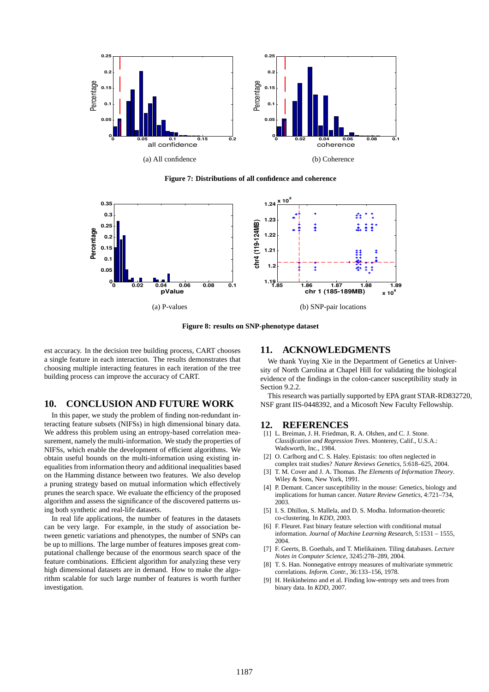

**Figure 7: Distributions of all confidence and coherence**



**Figure 8: results on SNP-phenotype dataset**

est accuracy. In the decision tree building process, CART chooses a single feature in each interaction. The results demonstrates that choosing multiple interacting features in each iteration of the tree building process can improve the accuracy of CART.

# **10. CONCLUSION AND FUTURE WORK**

In this paper, we study the problem of finding non-redundant interacting feature subsets (NIFSs) in high dimensional binary data. We address this problem using an entropy-based correlation measurement, namely the multi-information. We study the properties of NIFSs, which enable the development of efficient algorithms. We obtain useful bounds on the multi-information using existing inequalities from information theory and additional inequalities based on the Hamming distance between two features. We also develop a pruning strategy based on mutual information which effectively prunes the search space. We evaluate the efficiency of the proposed algorithm and assess the significance of the discovered patterns using both synthetic and real-life datasets.

In real life applications, the number of features in the datasets can be very large. For example, in the study of association between genetic variations and phenotypes, the number of SNPs can be up to millions. The large number of features imposes great computational challenge because of the enormous search space of the feature combinations. Efficient algorithm for analyzing these very high dimensional datasets are in demand. How to make the algorithm scalable for such large number of features is worth further investigation.

### **11. ACKNOWLEDGMENTS**

We thank Yuying Xie in the Department of Genetics at University of North Carolina at Chapel Hill for validating the biological evidence of the findings in the colon-cancer susceptibility study in Section 9.2.2.

This research was partially supported by EPA grant STAR-RD832720, NSF grant IIS-0448392, and a Micosoft New Faculty Fellowship.

#### **12. REFERENCES**

- [1] L. Breiman, J. H. Friedman, R. A. Olshen, and C. J. Stone. *Classification and Regression Trees*. Monterey, Calif., U.S.A.: Wadsworth, Inc., 1984.
- [2] O. Carlborg and C. S. Haley. Epistasis: too often neglected in complex trait studies? *Nature Reviews Genetics*, 5:618–625, 2004.
- [3] T. M. Cover and J. A. Thomas. *The Elements of Information Theory*. Wiley & Sons, New York, 1991.
- [4] P. Demant. Cancer susceptibility in the mouse: Genetics, biology and implications for human cancer. *Nature Review Genetics*, 4:721–734, 2003.
- [5] I. S. Dhillon, S. Mallela, and D. S. Modha. Information-theoretic co-clustering. In *KDD*, 2003.
- [6] F. Fleuret. Fast binary feature selection with conditional mutual information. *Journal of Machine Learning Research*, 5:1531 – 1555, 2004.
- [7] F. Geerts, B. Goethals, and T. Mielikainen. Tiling databases. *Lecture Notes in Computer Science*, 3245:278–289, 2004.
- [8] T. S. Han. Nonnegative entropy measures of multivariate symmetric correlations. *Inform. Contr.*, 36:133–156, 1978.
- [9] H. Heikinheimo and et al. Finding low-entropy sets and trees from binary data. In *KDD*, 2007.